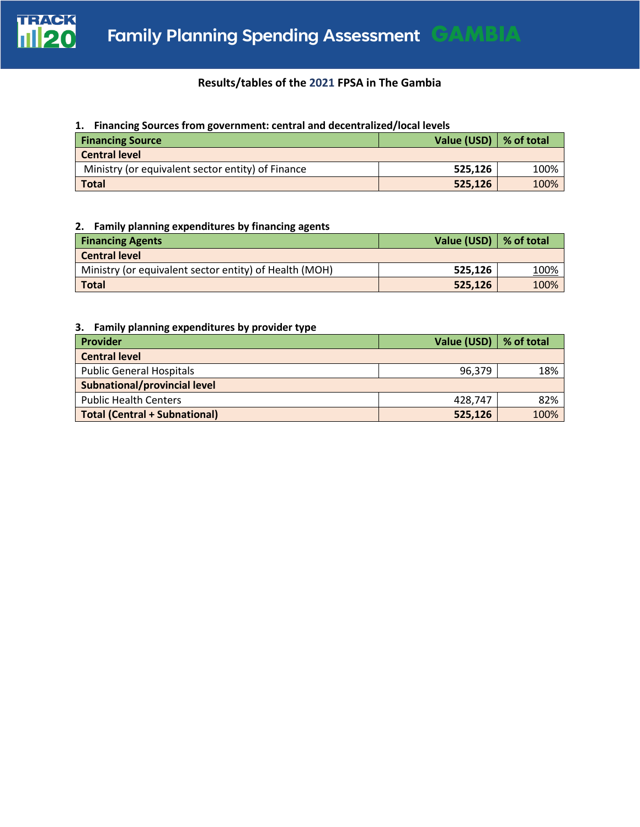

# **Results/tables of the 2021 FPSA in The Gambia**

### **1. Financing Sources from government: central and decentralized/local levels**

| <b>Financing Source</b>                           | Value (USD) $\vert \%$ of total |      |
|---------------------------------------------------|---------------------------------|------|
| <b>Central level</b>                              |                                 |      |
| Ministry (or equivalent sector entity) of Finance | 525.126                         | 100% |
| <b>Total</b>                                      | 525,126                         | 100% |

## **2. Family planning expenditures by financing agents**

| <b>Financing Agents</b>                                | Value (USD)   % of total |      |
|--------------------------------------------------------|--------------------------|------|
| <b>Central level</b>                                   |                          |      |
| Ministry (or equivalent sector entity) of Health (MOH) | 525.126                  | 100% |
| <b>Total</b>                                           | 525,126                  | 100% |

# **3. Family planning expenditures by provider type**

| Provider                             | Value (USD)   % of total |      |  |  |
|--------------------------------------|--------------------------|------|--|--|
| <b>Central level</b>                 |                          |      |  |  |
| <b>Public General Hospitals</b>      | 96,379                   | 18%  |  |  |
| <b>Subnational/provincial level</b>  |                          |      |  |  |
| <b>Public Health Centers</b>         | 428.747                  | 82%  |  |  |
| <b>Total (Central + Subnational)</b> | 525,126                  | 100% |  |  |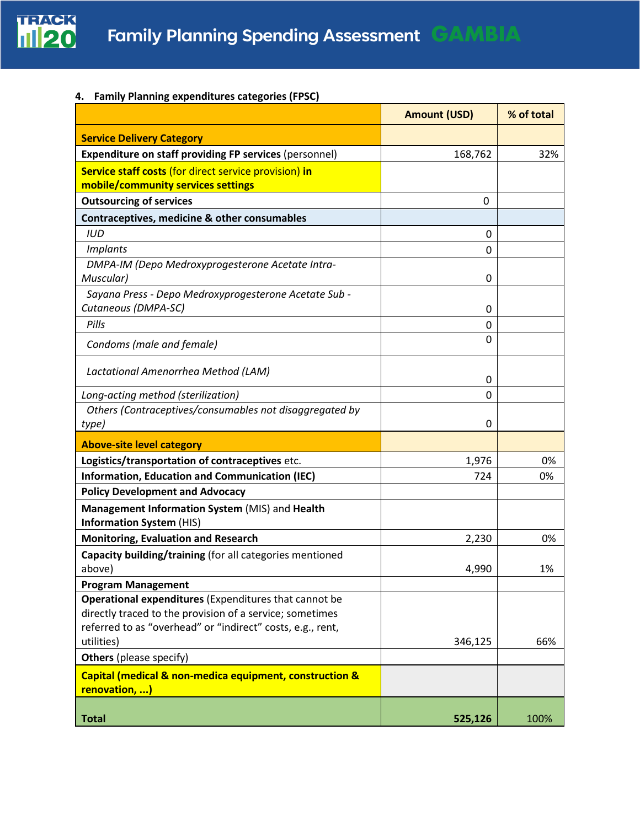

**4. Family Planning expenditures categories (FPSC)** 

|                                                                                                                   | <b>Amount (USD)</b> | % of total |
|-------------------------------------------------------------------------------------------------------------------|---------------------|------------|
| <b>Service Delivery Category</b>                                                                                  |                     |            |
| <b>Expenditure on staff providing FP services (personnel)</b>                                                     | 168,762             | 32%        |
| Service staff costs (for direct service provision) in                                                             |                     |            |
| mobile/community services settings                                                                                |                     |            |
| <b>Outsourcing of services</b>                                                                                    | 0                   |            |
| Contraceptives, medicine & other consumables                                                                      |                     |            |
| <b>IUD</b>                                                                                                        | 0                   |            |
| <b>Implants</b>                                                                                                   | 0                   |            |
| DMPA-IM (Depo Medroxyprogesterone Acetate Intra-<br>Muscular)                                                     | 0                   |            |
| Sayana Press - Depo Medroxyprogesterone Acetate Sub -                                                             |                     |            |
| Cutaneous (DMPA-SC)                                                                                               | 0                   |            |
| Pills                                                                                                             | 0                   |            |
| Condoms (male and female)                                                                                         | 0                   |            |
| Lactational Amenorrhea Method (LAM)                                                                               | 0                   |            |
| Long-acting method (sterilization)                                                                                | 0                   |            |
| Others (Contraceptives/consumables not disaggregated by                                                           |                     |            |
| type)                                                                                                             | 0                   |            |
| <b>Above-site level category</b>                                                                                  |                     |            |
| Logistics/transportation of contraceptives etc.                                                                   | 1,976               | 0%         |
| <b>Information, Education and Communication (IEC)</b>                                                             | 724                 | 0%         |
| <b>Policy Development and Advocacy</b>                                                                            |                     |            |
| Management Information System (MIS) and Health<br><b>Information System (HIS)</b>                                 |                     |            |
| <b>Monitoring, Evaluation and Research</b>                                                                        | 2,230               | 0%         |
| Capacity building/training (for all categories mentioned                                                          |                     |            |
| above)                                                                                                            | 4,990               | 1%         |
| <b>Program Management</b>                                                                                         |                     |            |
| Operational expenditures (Expenditures that cannot be<br>directly traced to the provision of a service; sometimes |                     |            |
| referred to as "overhead" or "indirect" costs, e.g., rent,<br>utilities)                                          | 346,125             | 66%        |
| <b>Others</b> (please specify)                                                                                    |                     |            |
| Capital (medical & non-medica equipment, construction &<br>renovation, )                                          |                     |            |
| <b>Total</b>                                                                                                      | 525,126             | 100%       |